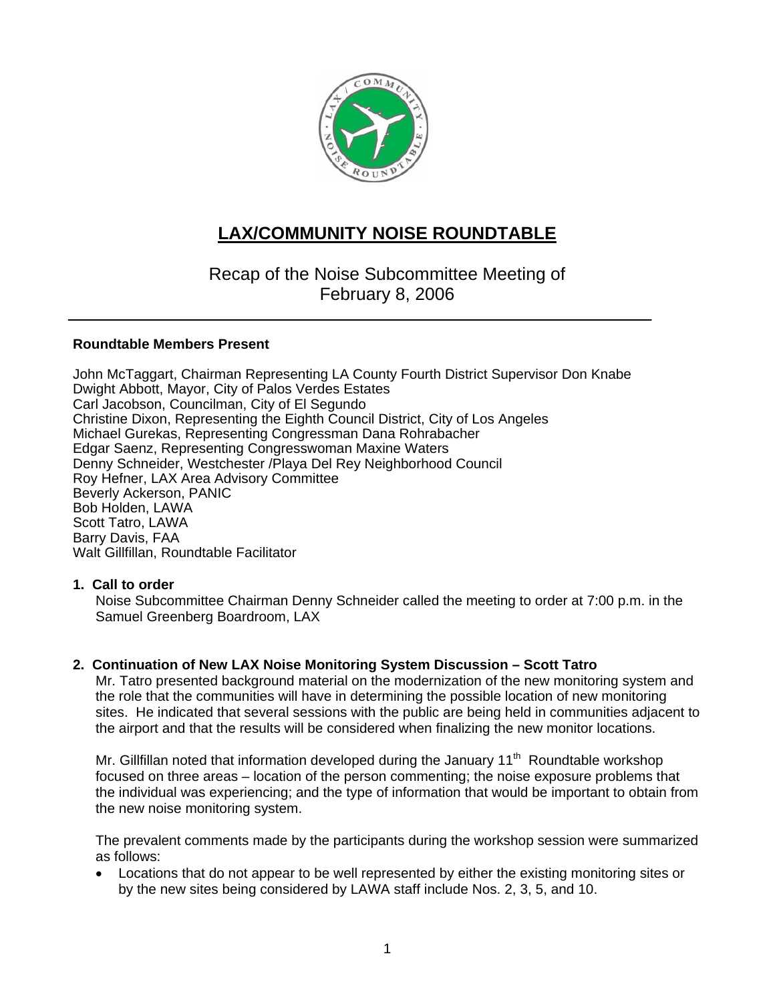

# **LAX/COMMUNITY NOISE ROUNDTABLE**

Recap of the Noise Subcommittee Meeting of February 8, 2006

## **Roundtable Members Present**

John McTaggart, Chairman Representing LA County Fourth District Supervisor Don Knabe Dwight Abbott, Mayor, City of Palos Verdes Estates Carl Jacobson, Councilman, City of El Segundo Christine Dixon, Representing the Eighth Council District, City of Los Angeles Michael Gurekas, Representing Congressman Dana Rohrabacher Edgar Saenz, Representing Congresswoman Maxine Waters Denny Schneider, Westchester /Playa Del Rey Neighborhood Council Roy Hefner, LAX Area Advisory Committee Beverly Ackerson, PANIC Bob Holden, LAWA Scott Tatro, LAWA Barry Davis, FAA Walt Gillfillan, Roundtable Facilitator

## **1. Call to order**

Noise Subcommittee Chairman Denny Schneider called the meeting to order at 7:00 p.m. in the Samuel Greenberg Boardroom, LAX

## **2. Continuation of New LAX Noise Monitoring System Discussion – Scott Tatro**

Mr. Tatro presented background material on the modernization of the new monitoring system and the role that the communities will have in determining the possible location of new monitoring sites. He indicated that several sessions with the public are being held in communities adjacent to the airport and that the results will be considered when finalizing the new monitor locations.

Mr. Gillfillan noted that information developed during the January 11<sup>th</sup> Roundtable workshop focused on three areas – location of the person commenting; the noise exposure problems that the individual was experiencing; and the type of information that would be important to obtain from the new noise monitoring system.

The prevalent comments made by the participants during the workshop session were summarized as follows:

• Locations that do not appear to be well represented by either the existing monitoring sites or by the new sites being considered by LAWA staff include Nos. 2, 3, 5, and 10.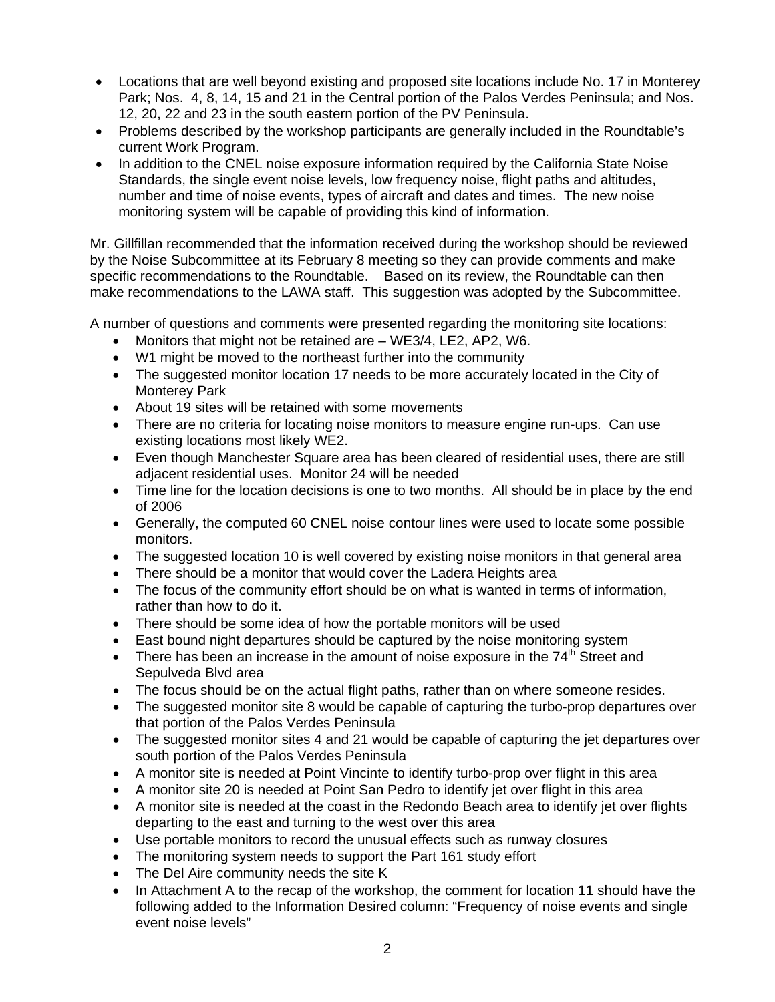- Locations that are well beyond existing and proposed site locations include No. 17 in Monterey Park; Nos. 4, 8, 14, 15 and 21 in the Central portion of the Palos Verdes Peninsula; and Nos. 12, 20, 22 and 23 in the south eastern portion of the PV Peninsula.
- Problems described by the workshop participants are generally included in the Roundtable's current Work Program.
- In addition to the CNEL noise exposure information required by the California State Noise Standards, the single event noise levels, low frequency noise, flight paths and altitudes, number and time of noise events, types of aircraft and dates and times. The new noise monitoring system will be capable of providing this kind of information.

Mr. Gillfillan recommended that the information received during the workshop should be reviewed by the Noise Subcommittee at its February 8 meeting so they can provide comments and make specific recommendations to the Roundtable. Based on its review, the Roundtable can then make recommendations to the LAWA staff. This suggestion was adopted by the Subcommittee.

A number of questions and comments were presented regarding the monitoring site locations:

- Monitors that might not be retained are WE3/4, LE2, AP2, W6.
- W1 might be moved to the northeast further into the community
- The suggested monitor location 17 needs to be more accurately located in the City of Monterey Park
- About 19 sites will be retained with some movements
- There are no criteria for locating noise monitors to measure engine run-ups. Can use existing locations most likely WE2.
- Even though Manchester Square area has been cleared of residential uses, there are still adjacent residential uses. Monitor 24 will be needed
- Time line for the location decisions is one to two months. All should be in place by the end of 2006
- Generally, the computed 60 CNEL noise contour lines were used to locate some possible monitors.
- The suggested location 10 is well covered by existing noise monitors in that general area
- There should be a monitor that would cover the Ladera Heights area
- The focus of the community effort should be on what is wanted in terms of information, rather than how to do it.
- There should be some idea of how the portable monitors will be used
- East bound night departures should be captured by the noise monitoring system
- There has been an increase in the amount of noise exposure in the  $74<sup>th</sup>$  Street and Sepulveda Blvd area
- The focus should be on the actual flight paths, rather than on where someone resides.
- The suggested monitor site 8 would be capable of capturing the turbo-prop departures over that portion of the Palos Verdes Peninsula
- The suggested monitor sites 4 and 21 would be capable of capturing the jet departures over south portion of the Palos Verdes Peninsula
- A monitor site is needed at Point Vincinte to identify turbo-prop over flight in this area
- A monitor site 20 is needed at Point San Pedro to identify jet over flight in this area
- A monitor site is needed at the coast in the Redondo Beach area to identify jet over flights departing to the east and turning to the west over this area
- Use portable monitors to record the unusual effects such as runway closures
- The monitoring system needs to support the Part 161 study effort
- The Del Aire community needs the site K
- In Attachment A to the recap of the workshop, the comment for location 11 should have the following added to the Information Desired column: "Frequency of noise events and single event noise levels"